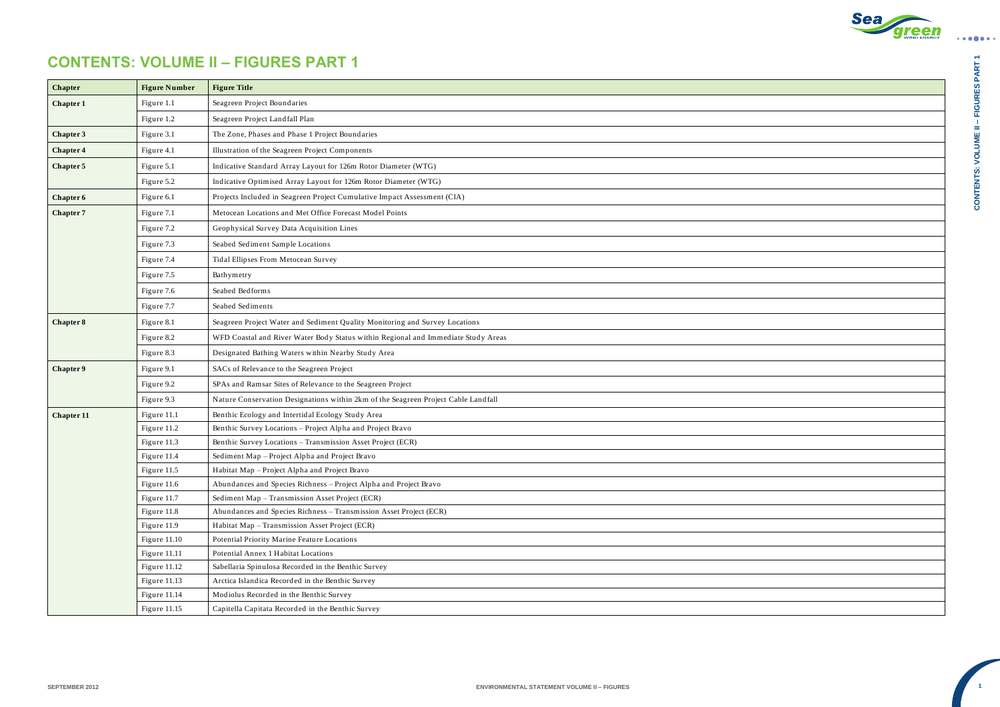

CONTENTS: VOLUME II - FIGURES PART 1 **– FIGURES PART 1 CONTENTS: VOLUME II** 

 $\bullet\bullet\bullet\bullet\bullet\bullet\bullet$ 

**1**

## **CONTENTS: VOLUME II – FIGURES PART 1**

| <b>Chapter</b>    | <b>Figure Number</b> | <b>Figure Title</b>                                                                |
|-------------------|----------------------|------------------------------------------------------------------------------------|
| Chapter 1         | Figure 1.1           | Seagreen Project Boundaries                                                        |
|                   | Figure 1.2           | Seagreen Project Landfall Plan                                                     |
| Chapter 3         | Figure 3.1           | The Zone, Phases and Phase 1 Project Boundaries                                    |
| Chapter 4         | Figure 4.1           | Illustration of the Seagreen Project Components                                    |
| Chapter 5         | Figure 5.1           | Indicative Standard Array Layout for 126m Rotor Diameter (WTG)                     |
|                   | Figure 5.2           | Indicative Optimised Array Layout for 126m Rotor Diameter (WTG)                    |
| Chapter 6         | Figure 6.1           | Projects Included in Seagreen Project Cumulative Impact Assessment (CIA)           |
| Chapter 7         | Figure 7.1           | Metocean Locations and Met Office Forecast Model Points                            |
|                   | Figure 7.2           | Geophysical Survey Data Acquisition Lines                                          |
|                   | Figure 7.3           | Seabed Sediment Sample Locations                                                   |
|                   | Figure 7.4           | Tidal Ellipses From Metocean Survey                                                |
|                   | Figure 7.5           | Bathymetry                                                                         |
|                   | Figure 7.6           | Seabed Bedforms                                                                    |
|                   | Figure 7.7           | Seabed Sediments                                                                   |
| Chapter 8         | Figure 8.1           | Seagreen Project Water and Sediment Quality Monitoring and Survey Locations        |
|                   | Figure 8.2           | WFD Coastal and River Water Body Status within Regional and Immediate Study Areas  |
|                   | Figure 8.3           | Designated Bathing Waters within Nearby Study Area                                 |
| Chapter 9         | Figure 9.1           | SACs of Relevance to the Seagreen Project                                          |
|                   | Figure 9.2           | SPAs and Ramsar Sites of Relevance to the Seagreen Project                         |
|                   | Figure 9.3           | Nature Conservation Designations within 2km of the Seagreen Project Cable Landfall |
| <b>Chapter 11</b> | Figure 11.1          | Benthic Ecology and Intertidal Ecology Study Area                                  |
|                   | Figure 11.2          | Benthic Survey Locations - Project Alpha and Project Bravo                         |
|                   | Figure 11.3          | Benthic Survey Locations - Transmission Asset Project (ECR)                        |
|                   | Figure 11.4          | Sediment Map – Project Alpha and Project Bravo                                     |
|                   | Figure 11.5          | Habitat Map - Project Alpha and Project Bravo                                      |
|                   | Figure 11.6          | Abundances and Species Richness - Project Alpha and Project Bravo                  |
|                   | Figure 11.7          | Sediment Map - Transmission Asset Project (ECR)                                    |
|                   | Figure 11.8          | Abundances and Species Richness - Transmission Asset Project (ECR)                 |
|                   | Figure 11.9          | Habitat Map - Transmission Asset Project (ECR)                                     |
|                   | Figure 11.10         | Potential Priority Marine Feature Locations                                        |
|                   | Figure 11.11         | Potential Annex 1 Habitat Locations                                                |
|                   | Figure 11.12         | Sabellaria Spinulosa Recorded in the Benthic Survey                                |
|                   | Figure 11.13         | Arctica Islandica Recorded in the Benthic Survey                                   |
|                   | Figure 11.14         | Modiolus Recorded in the Benthic Survey                                            |
|                   | Figure 11.15         | Capitella Capitata Recorded in the Benthic Survey                                  |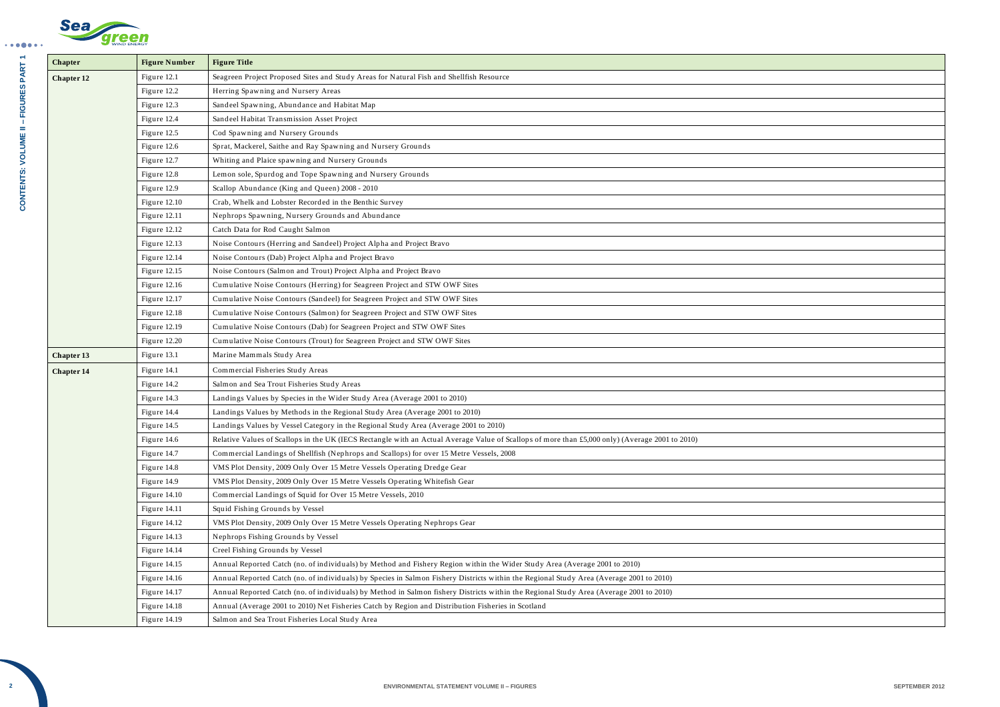$\bullet\bullet\bullet\bullet\bullet\bullet\bullet$ 

| <b>WIND ENERGY</b> |
|--------------------|

| Seagreen Project Proposed Sites and Study Areas for Natural Fish and Shellfish Resource<br>Figure 12.1<br><b>Chapter 12</b><br>Figure 12.2<br>Herring Spawning and Nursery Areas<br>Sandeel Spawning, Abundance and Habitat Map<br>Figure 12.3<br>Figure 12.4<br>Sandeel Habitat Transmission Asset Project<br>Cod Spawning and Nursery Grounds<br>Figure 12.5<br>Sprat, Mackerel, Saithe and Ray Spawning and Nursery Grounds<br>Figure 12.6<br>Whiting and Plaice spawning and Nursery Grounds<br>Figure 12.7<br>Lemon sole, Spurdog and Tope Spawning and Nursery Grounds<br>Figure 12.8<br>Scallop Abundance (King and Queen) 2008 - 2010<br>Figure 12.9<br>Crab, Whelk and Lobster Recorded in the Benthic Survey<br>Figure 12.10<br>Nephrops Spawning, Nursery Grounds and Abundance<br>Figure 12.11<br>Figure 12.12<br>Catch Data for Rod Caught Salmon<br>Noise Contours (Herring and Sandeel) Project Alpha and Project Bravo<br>Figure 12.13<br>Figure 12.14<br>Noise Contours (Dab) Project Alpha and Project Bravo<br>Noise Contours (Salmon and Trout) Project Alpha and Project Bravo<br>Figure 12.15<br>Cumulative Noise Contours (Herring) for Seagreen Project and STW OWF Sites<br>Figure 12.16<br>Cumulative Noise Contours (Sandeel) for Seagreen Project and STW OWF Sites<br>Figure 12.17<br>Cumulative Noise Contours (Salmon) for Seagreen Project and STW OWF Sites<br>Figure 12.18<br>Cumulative Noise Contours (Dab) for Seagreen Project and STW OWF Sites<br>Figure 12.19<br>Cumulative Noise Contours (Trout) for Seagreen Project and STW OWF Sites<br>Figure 12.20<br>Marine Mammals Study Area<br>Figure 13.1<br><b>Chapter 13</b><br>Figure 14.1<br>Commercial Fisheries Study Areas<br><b>Chapter 14</b><br>Figure 14.2<br>Salmon and Sea Trout Fisheries Study Areas<br>Landings Values by Species in the Wider Study Area (Average 2001 to 2010)<br>Figure 14.3<br>Landings Values by Methods in the Regional Study Area (Average 2001 to 2010)<br>Figure 14.4<br>Landings Values by Vessel Category in the Regional Study Area (Average 2001 to 2010)<br>Figure 14.5<br>Relative Values of Scallops in the UK (IECS Rectangle with an Actual Average Value of Scallops of more than £5,000 only) (Average 2001 to 2010)<br>Figure 14.6<br>Figure 14.7<br>Commercial Landings of Shellfish (Nephrops and Scallops) for over 15 Metre Vessels, 2008<br>VMS Plot Density, 2009 Only Over 15 Metre Vessels Operating Dredge Gear<br>Figure 14.8<br>VMS Plot Density, 2009 Only Over 15 Metre Vessels Operating Whitefish Gear<br>Figure 14.9<br>Figure 14.10<br>Commercial Landings of Squid for Over 15 Metre Vessels, 2010<br>Figure 14.11<br>Squid Fishing Grounds by Vessel<br>VMS Plot Density, 2009 Only Over 15 Metre Vessels Operating Nephrops Gear<br>Figure 14.12<br>Figure 14.13<br>Nephrops Fishing Grounds by Vessel<br>Creel Fishing Grounds by Vessel<br>Figure 14.14<br>Figure 14.15<br>Annual Reported Catch (no. of individuals) by Method and Fishery Region within the Wider Study Area (Average 2001 to 2010)<br>Annual Reported Catch (no. of individuals) by Species in Salmon Fishery Districts within the Regional Study Area (Average 2001 to 2010)<br>Figure 14.16<br>Figure 14.17<br>Annual Reported Catch (no. of individuals) by Method in Salmon fishery Districts within the Regional Study Area (Average 2001 to 2010)<br>Annual (Average 2001 to 2010) Net Fisheries Catch by Region and Distribution Fisheries in Scotland<br>Figure 14.18<br>Figure 14.19<br>Salmon and Sea Trout Fisheries Local Study Area | Chapter | <b>Figure Number</b> | <b>Figure Title</b> |
|-------------------------------------------------------------------------------------------------------------------------------------------------------------------------------------------------------------------------------------------------------------------------------------------------------------------------------------------------------------------------------------------------------------------------------------------------------------------------------------------------------------------------------------------------------------------------------------------------------------------------------------------------------------------------------------------------------------------------------------------------------------------------------------------------------------------------------------------------------------------------------------------------------------------------------------------------------------------------------------------------------------------------------------------------------------------------------------------------------------------------------------------------------------------------------------------------------------------------------------------------------------------------------------------------------------------------------------------------------------------------------------------------------------------------------------------------------------------------------------------------------------------------------------------------------------------------------------------------------------------------------------------------------------------------------------------------------------------------------------------------------------------------------------------------------------------------------------------------------------------------------------------------------------------------------------------------------------------------------------------------------------------------------------------------------------------------------------------------------------------------------------------------------------------------------------------------------------------------------------------------------------------------------------------------------------------------------------------------------------------------------------------------------------------------------------------------------------------------------------------------------------------------------------------------------------------------------------------------------------------------------------------------------------------------------------------------------------------------------------------------------------------------------------------------------------------------------------------------------------------------------------------------------------------------------------------------------------------------------------------------------------------------------------------------------------------------------------------------------------------------------------------------------------------------------------------------------------------------------------------------------------------------------------------------------------------------------------------------------------------------------------------------------------------------------------------------------------------------------------------------------------------------------------------------------------------------------------|---------|----------------------|---------------------|
|                                                                                                                                                                                                                                                                                                                                                                                                                                                                                                                                                                                                                                                                                                                                                                                                                                                                                                                                                                                                                                                                                                                                                                                                                                                                                                                                                                                                                                                                                                                                                                                                                                                                                                                                                                                                                                                                                                                                                                                                                                                                                                                                                                                                                                                                                                                                                                                                                                                                                                                                                                                                                                                                                                                                                                                                                                                                                                                                                                                                                                                                                                                                                                                                                                                                                                                                                                                                                                                                                                                                                                                     |         |                      |                     |
|                                                                                                                                                                                                                                                                                                                                                                                                                                                                                                                                                                                                                                                                                                                                                                                                                                                                                                                                                                                                                                                                                                                                                                                                                                                                                                                                                                                                                                                                                                                                                                                                                                                                                                                                                                                                                                                                                                                                                                                                                                                                                                                                                                                                                                                                                                                                                                                                                                                                                                                                                                                                                                                                                                                                                                                                                                                                                                                                                                                                                                                                                                                                                                                                                                                                                                                                                                                                                                                                                                                                                                                     |         |                      |                     |
|                                                                                                                                                                                                                                                                                                                                                                                                                                                                                                                                                                                                                                                                                                                                                                                                                                                                                                                                                                                                                                                                                                                                                                                                                                                                                                                                                                                                                                                                                                                                                                                                                                                                                                                                                                                                                                                                                                                                                                                                                                                                                                                                                                                                                                                                                                                                                                                                                                                                                                                                                                                                                                                                                                                                                                                                                                                                                                                                                                                                                                                                                                                                                                                                                                                                                                                                                                                                                                                                                                                                                                                     |         |                      |                     |
|                                                                                                                                                                                                                                                                                                                                                                                                                                                                                                                                                                                                                                                                                                                                                                                                                                                                                                                                                                                                                                                                                                                                                                                                                                                                                                                                                                                                                                                                                                                                                                                                                                                                                                                                                                                                                                                                                                                                                                                                                                                                                                                                                                                                                                                                                                                                                                                                                                                                                                                                                                                                                                                                                                                                                                                                                                                                                                                                                                                                                                                                                                                                                                                                                                                                                                                                                                                                                                                                                                                                                                                     |         |                      |                     |
|                                                                                                                                                                                                                                                                                                                                                                                                                                                                                                                                                                                                                                                                                                                                                                                                                                                                                                                                                                                                                                                                                                                                                                                                                                                                                                                                                                                                                                                                                                                                                                                                                                                                                                                                                                                                                                                                                                                                                                                                                                                                                                                                                                                                                                                                                                                                                                                                                                                                                                                                                                                                                                                                                                                                                                                                                                                                                                                                                                                                                                                                                                                                                                                                                                                                                                                                                                                                                                                                                                                                                                                     |         |                      |                     |
|                                                                                                                                                                                                                                                                                                                                                                                                                                                                                                                                                                                                                                                                                                                                                                                                                                                                                                                                                                                                                                                                                                                                                                                                                                                                                                                                                                                                                                                                                                                                                                                                                                                                                                                                                                                                                                                                                                                                                                                                                                                                                                                                                                                                                                                                                                                                                                                                                                                                                                                                                                                                                                                                                                                                                                                                                                                                                                                                                                                                                                                                                                                                                                                                                                                                                                                                                                                                                                                                                                                                                                                     |         |                      |                     |
|                                                                                                                                                                                                                                                                                                                                                                                                                                                                                                                                                                                                                                                                                                                                                                                                                                                                                                                                                                                                                                                                                                                                                                                                                                                                                                                                                                                                                                                                                                                                                                                                                                                                                                                                                                                                                                                                                                                                                                                                                                                                                                                                                                                                                                                                                                                                                                                                                                                                                                                                                                                                                                                                                                                                                                                                                                                                                                                                                                                                                                                                                                                                                                                                                                                                                                                                                                                                                                                                                                                                                                                     |         |                      |                     |
|                                                                                                                                                                                                                                                                                                                                                                                                                                                                                                                                                                                                                                                                                                                                                                                                                                                                                                                                                                                                                                                                                                                                                                                                                                                                                                                                                                                                                                                                                                                                                                                                                                                                                                                                                                                                                                                                                                                                                                                                                                                                                                                                                                                                                                                                                                                                                                                                                                                                                                                                                                                                                                                                                                                                                                                                                                                                                                                                                                                                                                                                                                                                                                                                                                                                                                                                                                                                                                                                                                                                                                                     |         |                      |                     |
|                                                                                                                                                                                                                                                                                                                                                                                                                                                                                                                                                                                                                                                                                                                                                                                                                                                                                                                                                                                                                                                                                                                                                                                                                                                                                                                                                                                                                                                                                                                                                                                                                                                                                                                                                                                                                                                                                                                                                                                                                                                                                                                                                                                                                                                                                                                                                                                                                                                                                                                                                                                                                                                                                                                                                                                                                                                                                                                                                                                                                                                                                                                                                                                                                                                                                                                                                                                                                                                                                                                                                                                     |         |                      |                     |
|                                                                                                                                                                                                                                                                                                                                                                                                                                                                                                                                                                                                                                                                                                                                                                                                                                                                                                                                                                                                                                                                                                                                                                                                                                                                                                                                                                                                                                                                                                                                                                                                                                                                                                                                                                                                                                                                                                                                                                                                                                                                                                                                                                                                                                                                                                                                                                                                                                                                                                                                                                                                                                                                                                                                                                                                                                                                                                                                                                                                                                                                                                                                                                                                                                                                                                                                                                                                                                                                                                                                                                                     |         |                      |                     |
|                                                                                                                                                                                                                                                                                                                                                                                                                                                                                                                                                                                                                                                                                                                                                                                                                                                                                                                                                                                                                                                                                                                                                                                                                                                                                                                                                                                                                                                                                                                                                                                                                                                                                                                                                                                                                                                                                                                                                                                                                                                                                                                                                                                                                                                                                                                                                                                                                                                                                                                                                                                                                                                                                                                                                                                                                                                                                                                                                                                                                                                                                                                                                                                                                                                                                                                                                                                                                                                                                                                                                                                     |         |                      |                     |
|                                                                                                                                                                                                                                                                                                                                                                                                                                                                                                                                                                                                                                                                                                                                                                                                                                                                                                                                                                                                                                                                                                                                                                                                                                                                                                                                                                                                                                                                                                                                                                                                                                                                                                                                                                                                                                                                                                                                                                                                                                                                                                                                                                                                                                                                                                                                                                                                                                                                                                                                                                                                                                                                                                                                                                                                                                                                                                                                                                                                                                                                                                                                                                                                                                                                                                                                                                                                                                                                                                                                                                                     |         |                      |                     |
|                                                                                                                                                                                                                                                                                                                                                                                                                                                                                                                                                                                                                                                                                                                                                                                                                                                                                                                                                                                                                                                                                                                                                                                                                                                                                                                                                                                                                                                                                                                                                                                                                                                                                                                                                                                                                                                                                                                                                                                                                                                                                                                                                                                                                                                                                                                                                                                                                                                                                                                                                                                                                                                                                                                                                                                                                                                                                                                                                                                                                                                                                                                                                                                                                                                                                                                                                                                                                                                                                                                                                                                     |         |                      |                     |
|                                                                                                                                                                                                                                                                                                                                                                                                                                                                                                                                                                                                                                                                                                                                                                                                                                                                                                                                                                                                                                                                                                                                                                                                                                                                                                                                                                                                                                                                                                                                                                                                                                                                                                                                                                                                                                                                                                                                                                                                                                                                                                                                                                                                                                                                                                                                                                                                                                                                                                                                                                                                                                                                                                                                                                                                                                                                                                                                                                                                                                                                                                                                                                                                                                                                                                                                                                                                                                                                                                                                                                                     |         |                      |                     |
|                                                                                                                                                                                                                                                                                                                                                                                                                                                                                                                                                                                                                                                                                                                                                                                                                                                                                                                                                                                                                                                                                                                                                                                                                                                                                                                                                                                                                                                                                                                                                                                                                                                                                                                                                                                                                                                                                                                                                                                                                                                                                                                                                                                                                                                                                                                                                                                                                                                                                                                                                                                                                                                                                                                                                                                                                                                                                                                                                                                                                                                                                                                                                                                                                                                                                                                                                                                                                                                                                                                                                                                     |         |                      |                     |
|                                                                                                                                                                                                                                                                                                                                                                                                                                                                                                                                                                                                                                                                                                                                                                                                                                                                                                                                                                                                                                                                                                                                                                                                                                                                                                                                                                                                                                                                                                                                                                                                                                                                                                                                                                                                                                                                                                                                                                                                                                                                                                                                                                                                                                                                                                                                                                                                                                                                                                                                                                                                                                                                                                                                                                                                                                                                                                                                                                                                                                                                                                                                                                                                                                                                                                                                                                                                                                                                                                                                                                                     |         |                      |                     |
|                                                                                                                                                                                                                                                                                                                                                                                                                                                                                                                                                                                                                                                                                                                                                                                                                                                                                                                                                                                                                                                                                                                                                                                                                                                                                                                                                                                                                                                                                                                                                                                                                                                                                                                                                                                                                                                                                                                                                                                                                                                                                                                                                                                                                                                                                                                                                                                                                                                                                                                                                                                                                                                                                                                                                                                                                                                                                                                                                                                                                                                                                                                                                                                                                                                                                                                                                                                                                                                                                                                                                                                     |         |                      |                     |
|                                                                                                                                                                                                                                                                                                                                                                                                                                                                                                                                                                                                                                                                                                                                                                                                                                                                                                                                                                                                                                                                                                                                                                                                                                                                                                                                                                                                                                                                                                                                                                                                                                                                                                                                                                                                                                                                                                                                                                                                                                                                                                                                                                                                                                                                                                                                                                                                                                                                                                                                                                                                                                                                                                                                                                                                                                                                                                                                                                                                                                                                                                                                                                                                                                                                                                                                                                                                                                                                                                                                                                                     |         |                      |                     |
|                                                                                                                                                                                                                                                                                                                                                                                                                                                                                                                                                                                                                                                                                                                                                                                                                                                                                                                                                                                                                                                                                                                                                                                                                                                                                                                                                                                                                                                                                                                                                                                                                                                                                                                                                                                                                                                                                                                                                                                                                                                                                                                                                                                                                                                                                                                                                                                                                                                                                                                                                                                                                                                                                                                                                                                                                                                                                                                                                                                                                                                                                                                                                                                                                                                                                                                                                                                                                                                                                                                                                                                     |         |                      |                     |
|                                                                                                                                                                                                                                                                                                                                                                                                                                                                                                                                                                                                                                                                                                                                                                                                                                                                                                                                                                                                                                                                                                                                                                                                                                                                                                                                                                                                                                                                                                                                                                                                                                                                                                                                                                                                                                                                                                                                                                                                                                                                                                                                                                                                                                                                                                                                                                                                                                                                                                                                                                                                                                                                                                                                                                                                                                                                                                                                                                                                                                                                                                                                                                                                                                                                                                                                                                                                                                                                                                                                                                                     |         |                      |                     |
|                                                                                                                                                                                                                                                                                                                                                                                                                                                                                                                                                                                                                                                                                                                                                                                                                                                                                                                                                                                                                                                                                                                                                                                                                                                                                                                                                                                                                                                                                                                                                                                                                                                                                                                                                                                                                                                                                                                                                                                                                                                                                                                                                                                                                                                                                                                                                                                                                                                                                                                                                                                                                                                                                                                                                                                                                                                                                                                                                                                                                                                                                                                                                                                                                                                                                                                                                                                                                                                                                                                                                                                     |         |                      |                     |
|                                                                                                                                                                                                                                                                                                                                                                                                                                                                                                                                                                                                                                                                                                                                                                                                                                                                                                                                                                                                                                                                                                                                                                                                                                                                                                                                                                                                                                                                                                                                                                                                                                                                                                                                                                                                                                                                                                                                                                                                                                                                                                                                                                                                                                                                                                                                                                                                                                                                                                                                                                                                                                                                                                                                                                                                                                                                                                                                                                                                                                                                                                                                                                                                                                                                                                                                                                                                                                                                                                                                                                                     |         |                      |                     |
|                                                                                                                                                                                                                                                                                                                                                                                                                                                                                                                                                                                                                                                                                                                                                                                                                                                                                                                                                                                                                                                                                                                                                                                                                                                                                                                                                                                                                                                                                                                                                                                                                                                                                                                                                                                                                                                                                                                                                                                                                                                                                                                                                                                                                                                                                                                                                                                                                                                                                                                                                                                                                                                                                                                                                                                                                                                                                                                                                                                                                                                                                                                                                                                                                                                                                                                                                                                                                                                                                                                                                                                     |         |                      |                     |
|                                                                                                                                                                                                                                                                                                                                                                                                                                                                                                                                                                                                                                                                                                                                                                                                                                                                                                                                                                                                                                                                                                                                                                                                                                                                                                                                                                                                                                                                                                                                                                                                                                                                                                                                                                                                                                                                                                                                                                                                                                                                                                                                                                                                                                                                                                                                                                                                                                                                                                                                                                                                                                                                                                                                                                                                                                                                                                                                                                                                                                                                                                                                                                                                                                                                                                                                                                                                                                                                                                                                                                                     |         |                      |                     |
|                                                                                                                                                                                                                                                                                                                                                                                                                                                                                                                                                                                                                                                                                                                                                                                                                                                                                                                                                                                                                                                                                                                                                                                                                                                                                                                                                                                                                                                                                                                                                                                                                                                                                                                                                                                                                                                                                                                                                                                                                                                                                                                                                                                                                                                                                                                                                                                                                                                                                                                                                                                                                                                                                                                                                                                                                                                                                                                                                                                                                                                                                                                                                                                                                                                                                                                                                                                                                                                                                                                                                                                     |         |                      |                     |
|                                                                                                                                                                                                                                                                                                                                                                                                                                                                                                                                                                                                                                                                                                                                                                                                                                                                                                                                                                                                                                                                                                                                                                                                                                                                                                                                                                                                                                                                                                                                                                                                                                                                                                                                                                                                                                                                                                                                                                                                                                                                                                                                                                                                                                                                                                                                                                                                                                                                                                                                                                                                                                                                                                                                                                                                                                                                                                                                                                                                                                                                                                                                                                                                                                                                                                                                                                                                                                                                                                                                                                                     |         |                      |                     |
|                                                                                                                                                                                                                                                                                                                                                                                                                                                                                                                                                                                                                                                                                                                                                                                                                                                                                                                                                                                                                                                                                                                                                                                                                                                                                                                                                                                                                                                                                                                                                                                                                                                                                                                                                                                                                                                                                                                                                                                                                                                                                                                                                                                                                                                                                                                                                                                                                                                                                                                                                                                                                                                                                                                                                                                                                                                                                                                                                                                                                                                                                                                                                                                                                                                                                                                                                                                                                                                                                                                                                                                     |         |                      |                     |
|                                                                                                                                                                                                                                                                                                                                                                                                                                                                                                                                                                                                                                                                                                                                                                                                                                                                                                                                                                                                                                                                                                                                                                                                                                                                                                                                                                                                                                                                                                                                                                                                                                                                                                                                                                                                                                                                                                                                                                                                                                                                                                                                                                                                                                                                                                                                                                                                                                                                                                                                                                                                                                                                                                                                                                                                                                                                                                                                                                                                                                                                                                                                                                                                                                                                                                                                                                                                                                                                                                                                                                                     |         |                      |                     |
|                                                                                                                                                                                                                                                                                                                                                                                                                                                                                                                                                                                                                                                                                                                                                                                                                                                                                                                                                                                                                                                                                                                                                                                                                                                                                                                                                                                                                                                                                                                                                                                                                                                                                                                                                                                                                                                                                                                                                                                                                                                                                                                                                                                                                                                                                                                                                                                                                                                                                                                                                                                                                                                                                                                                                                                                                                                                                                                                                                                                                                                                                                                                                                                                                                                                                                                                                                                                                                                                                                                                                                                     |         |                      |                     |
|                                                                                                                                                                                                                                                                                                                                                                                                                                                                                                                                                                                                                                                                                                                                                                                                                                                                                                                                                                                                                                                                                                                                                                                                                                                                                                                                                                                                                                                                                                                                                                                                                                                                                                                                                                                                                                                                                                                                                                                                                                                                                                                                                                                                                                                                                                                                                                                                                                                                                                                                                                                                                                                                                                                                                                                                                                                                                                                                                                                                                                                                                                                                                                                                                                                                                                                                                                                                                                                                                                                                                                                     |         |                      |                     |
|                                                                                                                                                                                                                                                                                                                                                                                                                                                                                                                                                                                                                                                                                                                                                                                                                                                                                                                                                                                                                                                                                                                                                                                                                                                                                                                                                                                                                                                                                                                                                                                                                                                                                                                                                                                                                                                                                                                                                                                                                                                                                                                                                                                                                                                                                                                                                                                                                                                                                                                                                                                                                                                                                                                                                                                                                                                                                                                                                                                                                                                                                                                                                                                                                                                                                                                                                                                                                                                                                                                                                                                     |         |                      |                     |
|                                                                                                                                                                                                                                                                                                                                                                                                                                                                                                                                                                                                                                                                                                                                                                                                                                                                                                                                                                                                                                                                                                                                                                                                                                                                                                                                                                                                                                                                                                                                                                                                                                                                                                                                                                                                                                                                                                                                                                                                                                                                                                                                                                                                                                                                                                                                                                                                                                                                                                                                                                                                                                                                                                                                                                                                                                                                                                                                                                                                                                                                                                                                                                                                                                                                                                                                                                                                                                                                                                                                                                                     |         |                      |                     |
|                                                                                                                                                                                                                                                                                                                                                                                                                                                                                                                                                                                                                                                                                                                                                                                                                                                                                                                                                                                                                                                                                                                                                                                                                                                                                                                                                                                                                                                                                                                                                                                                                                                                                                                                                                                                                                                                                                                                                                                                                                                                                                                                                                                                                                                                                                                                                                                                                                                                                                                                                                                                                                                                                                                                                                                                                                                                                                                                                                                                                                                                                                                                                                                                                                                                                                                                                                                                                                                                                                                                                                                     |         |                      |                     |
|                                                                                                                                                                                                                                                                                                                                                                                                                                                                                                                                                                                                                                                                                                                                                                                                                                                                                                                                                                                                                                                                                                                                                                                                                                                                                                                                                                                                                                                                                                                                                                                                                                                                                                                                                                                                                                                                                                                                                                                                                                                                                                                                                                                                                                                                                                                                                                                                                                                                                                                                                                                                                                                                                                                                                                                                                                                                                                                                                                                                                                                                                                                                                                                                                                                                                                                                                                                                                                                                                                                                                                                     |         |                      |                     |
|                                                                                                                                                                                                                                                                                                                                                                                                                                                                                                                                                                                                                                                                                                                                                                                                                                                                                                                                                                                                                                                                                                                                                                                                                                                                                                                                                                                                                                                                                                                                                                                                                                                                                                                                                                                                                                                                                                                                                                                                                                                                                                                                                                                                                                                                                                                                                                                                                                                                                                                                                                                                                                                                                                                                                                                                                                                                                                                                                                                                                                                                                                                                                                                                                                                                                                                                                                                                                                                                                                                                                                                     |         |                      |                     |
|                                                                                                                                                                                                                                                                                                                                                                                                                                                                                                                                                                                                                                                                                                                                                                                                                                                                                                                                                                                                                                                                                                                                                                                                                                                                                                                                                                                                                                                                                                                                                                                                                                                                                                                                                                                                                                                                                                                                                                                                                                                                                                                                                                                                                                                                                                                                                                                                                                                                                                                                                                                                                                                                                                                                                                                                                                                                                                                                                                                                                                                                                                                                                                                                                                                                                                                                                                                                                                                                                                                                                                                     |         |                      |                     |
|                                                                                                                                                                                                                                                                                                                                                                                                                                                                                                                                                                                                                                                                                                                                                                                                                                                                                                                                                                                                                                                                                                                                                                                                                                                                                                                                                                                                                                                                                                                                                                                                                                                                                                                                                                                                                                                                                                                                                                                                                                                                                                                                                                                                                                                                                                                                                                                                                                                                                                                                                                                                                                                                                                                                                                                                                                                                                                                                                                                                                                                                                                                                                                                                                                                                                                                                                                                                                                                                                                                                                                                     |         |                      |                     |
|                                                                                                                                                                                                                                                                                                                                                                                                                                                                                                                                                                                                                                                                                                                                                                                                                                                                                                                                                                                                                                                                                                                                                                                                                                                                                                                                                                                                                                                                                                                                                                                                                                                                                                                                                                                                                                                                                                                                                                                                                                                                                                                                                                                                                                                                                                                                                                                                                                                                                                                                                                                                                                                                                                                                                                                                                                                                                                                                                                                                                                                                                                                                                                                                                                                                                                                                                                                                                                                                                                                                                                                     |         |                      |                     |
|                                                                                                                                                                                                                                                                                                                                                                                                                                                                                                                                                                                                                                                                                                                                                                                                                                                                                                                                                                                                                                                                                                                                                                                                                                                                                                                                                                                                                                                                                                                                                                                                                                                                                                                                                                                                                                                                                                                                                                                                                                                                                                                                                                                                                                                                                                                                                                                                                                                                                                                                                                                                                                                                                                                                                                                                                                                                                                                                                                                                                                                                                                                                                                                                                                                                                                                                                                                                                                                                                                                                                                                     |         |                      |                     |
|                                                                                                                                                                                                                                                                                                                                                                                                                                                                                                                                                                                                                                                                                                                                                                                                                                                                                                                                                                                                                                                                                                                                                                                                                                                                                                                                                                                                                                                                                                                                                                                                                                                                                                                                                                                                                                                                                                                                                                                                                                                                                                                                                                                                                                                                                                                                                                                                                                                                                                                                                                                                                                                                                                                                                                                                                                                                                                                                                                                                                                                                                                                                                                                                                                                                                                                                                                                                                                                                                                                                                                                     |         |                      |                     |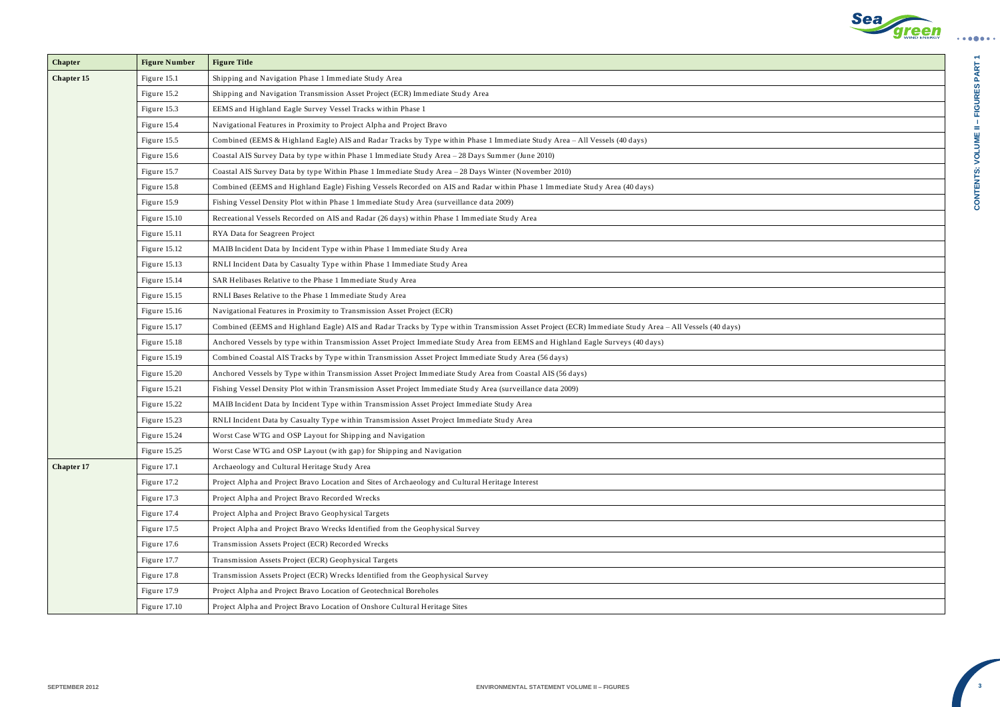

CONTENTS: VOLUME II - FIGURES PART 1 **– FIGURES PART 1 CONTENTS: VOLUME II** 

| <b>Chapter</b>    | <b>Figure Number</b> | <b>Figure Title</b>                                                                                                                                  |
|-------------------|----------------------|------------------------------------------------------------------------------------------------------------------------------------------------------|
| <b>Chapter 15</b> | Figure 15.1          | Shipping and Navigation Phase 1 Immediate Study Area                                                                                                 |
|                   | Figure 15.2          | Shipping and Navigation Transmission Asset Project (ECR) Immediate Study Area                                                                        |
|                   | Figure 15.3          | EEMS and Highland Eagle Survey Vessel Tracks within Phase 1                                                                                          |
|                   | Figure 15.4          | Navigational Features in Proximity to Project Alpha and Project Bravo                                                                                |
|                   | Figure 15.5          | Combined (EEMS & Highland Eagle) AIS and Radar Tracks by Type within Phase 1 Immediate Study Area - All Vessels (40 days)                            |
|                   | Figure 15.6          | Coastal AIS Survey Data by type within Phase 1 Immediate Study Area - 28 Days Summer (June 2010)                                                     |
|                   | Figure 15.7          | Coastal AIS Survey Data by type Within Phase 1 Immediate Study Area - 28 Days Winter (November 2010)                                                 |
|                   | Figure 15.8          | Combined (EEMS and Highland Eagle) Fishing Vessels Recorded on AIS and Radar within Phase 1 Immediate Study Area (40 days)                           |
|                   | Figure 15.9          | Fishing Vessel Density Plot within Phase 1 Immediate Study Area (surveillance data 2009)                                                             |
|                   | Figure 15.10         | Recreational Vessels Recorded on AIS and Radar (26 days) within Phase 1 Immediate Study Area                                                         |
|                   | Figure 15.11         | RYA Data for Seagreen Project                                                                                                                        |
|                   | Figure 15.12         | MAIB Incident Data by Incident Type within Phase 1 Immediate Study Area                                                                              |
|                   | Figure 15.13         | RNLI Incident Data by Casualty Type within Phase 1 Immediate Study Area                                                                              |
|                   | Figure 15.14         | SAR Helibases Relative to the Phase 1 Immediate Study Area                                                                                           |
|                   | Figure 15.15         | RNLI Bases Relative to the Phase 1 Immediate Study Area                                                                                              |
|                   | Figure 15.16         | Navigational Features in Proximity to Transmission Asset Project (ECR)                                                                               |
|                   | Figure 15.17         | Combined (EEMS and Highland Eagle) AIS and Radar Tracks by Type within Transmission Asset Project (ECR) Immediate Study Area - All Vessels (40 days) |
|                   | Figure 15.18         | Anchored Vessels by type within Transmission Asset Project Immediate Study Area from EEMS and Highland Eagle Surveys (40 days)                       |
|                   | Figure 15.19         | Combined Coastal AIS Tracks by Type within Transmission Asset Project Immediate Study Area (56 days)                                                 |
|                   | Figure 15.20         | Anchored Vessels by Type within Transmission Asset Project Immediate Study Area from Coastal AIS (56 days)                                           |
|                   | Figure 15.21         | Fishing Vessel Density Plot within Transmission Asset Project Immediate Study Area (surveillance data 2009)                                          |
|                   | Figure 15.22         | MAIB Incident Data by Incident Type within Transmission Asset Project Immediate Study Area                                                           |
|                   | Figure 15.23         | RNLI Incident Data by Casualty Type within Transmission Asset Project Immediate Study Area                                                           |
|                   | Figure 15.24         | Worst Case WTG and OSP Layout for Shipping and Navigation                                                                                            |
|                   | Figure 15.25         | Worst Case WTG and OSP Layout (with gap) for Shipping and Navigation                                                                                 |
| <b>Chapter 17</b> | Figure 17.1          | Archaeology and Cultural Heritage Study Area                                                                                                         |
|                   | Figure 17.2          | Project Alpha and Project Bravo Location and Sites of Archaeology and Cultural Heritage Interest                                                     |
|                   | Figure 17.3          | Project Alpha and Project Bravo Recorded Wrecks                                                                                                      |
|                   | Figure 17.4          | Project Alpha and Project Bravo Geophysical Targets                                                                                                  |
|                   | Figure 17.5          | Project Alpha and Project Bravo Wrecks Identified from the Geophysical Survey                                                                        |
|                   | Figure 17.6          | Transmission Assets Project (ECR) Recorded Wrecks                                                                                                    |
|                   | Figure 17.7          | Transmission Assets Project (ECR) Geophysical Targets                                                                                                |
|                   | Figure 17.8          | Transmission Assets Project (ECR) Wrecks Identified from the Geophysical Survey                                                                      |
|                   | Figure 17.9          | Project Alpha and Project Bravo Location of Geotechnical Boreholes                                                                                   |
|                   | Figure 17.10         | Project Alpha and Project Bravo Location of Onshore Cultural Heritage Sites                                                                          |